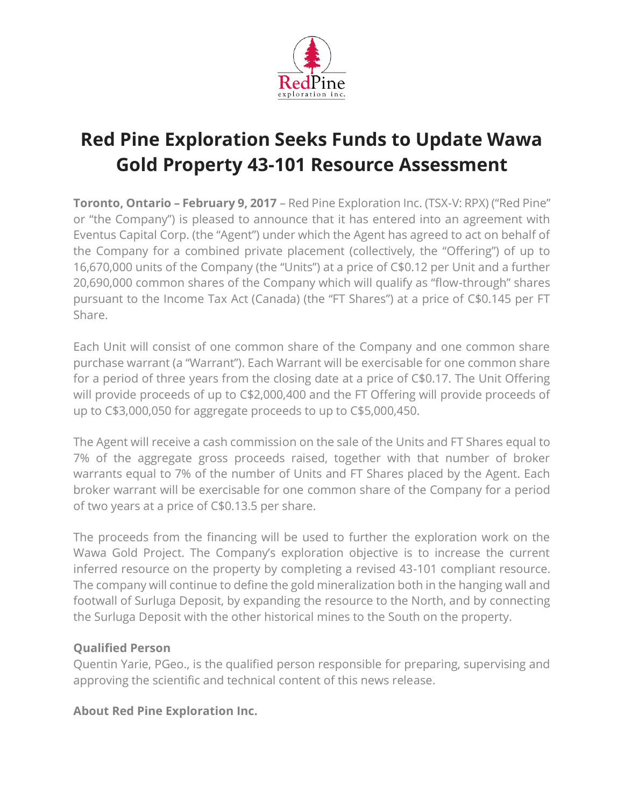

## **Red Pine Exploration Seeks Funds to Update Wawa Gold Property 43-101 Resource Assessment**

**Toronto, Ontario – February 9, 2017** – Red Pine Exploration Inc. (TSX-V: RPX) ("Red Pine" or "the Company") is pleased to announce that it has entered into an agreement with Eventus Capital Corp. (the "Agent") under which the Agent has agreed to act on behalf of the Company for a combined private placement (collectively, the "Offering") of up to 16,670,000 units of the Company (the "Units") at a price of C\$0.12 per Unit and a further 20,690,000 common shares of the Company which will qualify as "flow-through" shares pursuant to the Income Tax Act (Canada) (the "FT Shares") at a price of C\$0.145 per FT Share.

Each Unit will consist of one common share of the Company and one common share purchase warrant (a "Warrant"). Each Warrant will be exercisable for one common share for a period of three years from the closing date at a price of C\$0.17. The Unit Offering will provide proceeds of up to C\$2,000,400 and the FT Offering will provide proceeds of up to C\$3,000,050 for aggregate proceeds to up to C\$5,000,450.

The Agent will receive a cash commission on the sale of the Units and FT Shares equal to 7% of the aggregate gross proceeds raised, together with that number of broker warrants equal to 7% of the number of Units and FT Shares placed by the Agent. Each broker warrant will be exercisable for one common share of the Company for a period of two years at a price of C\$0.13.5 per share.

The proceeds from the financing will be used to further the exploration work on the Wawa Gold Project. The Company's exploration objective is to increase the current inferred resource on the property by completing a revised 43-101 compliant resource. The company will continue to define the gold mineralization both in the hanging wall and footwall of Surluga Deposit, by expanding the resource to the North, and by connecting the Surluga Deposit with the other historical mines to the South on the property.

## **Qualified Person**

Quentin Yarie, PGeo., is the qualified person responsible for preparing, supervising and approving the scientific and technical content of this news release.

## **About Red Pine Exploration Inc.**